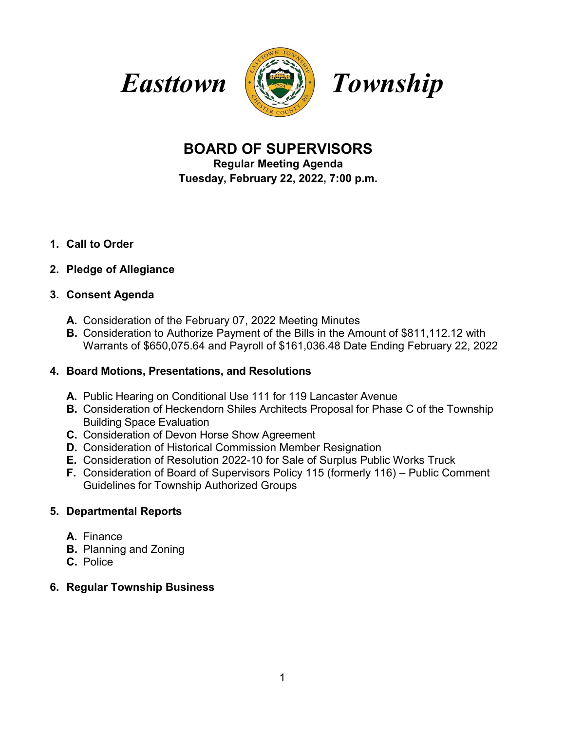



# **BOARD OF SUPERVISORS**

**Regular Meeting Agenda**

**Tuesday, February 22, 2022, 7:00 p.m.**

**1. Call to Order**

## **2. Pledge of Allegiance**

### **3. Consent Agenda**

- **A.** Consideration of the February 07, 2022 Meeting Minutes
- **B.** Consideration to Authorize Payment of the Bills in the Amount of \$811,112.12 with Warrants of \$650,075.64 and Payroll of \$161,036.48 Date Ending February 22, 2022

## **4. Board Motions, Presentations, and Resolutions**

- **A.** Public Hearing on Conditional Use 111 for 119 Lancaster Avenue
- **B.** Consideration of Heckendorn Shiles Architects Proposal for Phase C of the Township Building Space Evaluation
- **C.** Consideration of Devon Horse Show Agreement
- **D.** Consideration of Historical Commission Member Resignation
- **E.** Consideration of Resolution 2022-10 for Sale of Surplus Public Works Truck
- **F.** Consideration of Board of Supervisors Policy 115 (formerly 116) Public Comment Guidelines for Township Authorized Groups

## **5. Departmental Reports**

- **A.** Finance
- **B.** Planning and Zoning
- **C.** Police

## **6. Regular Township Business**